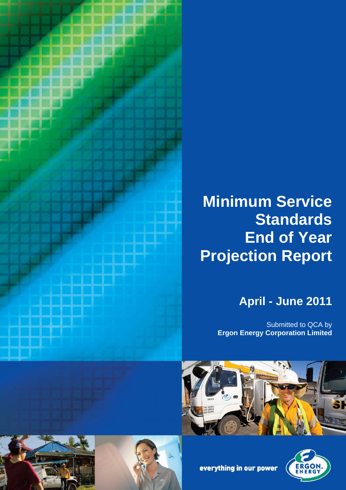

# **Minimum Service Standards End of Year Projection Report**

# **April - June 2011**

Submitted to QCA by **Ergon Energy Corporation Limited**





everything in our power



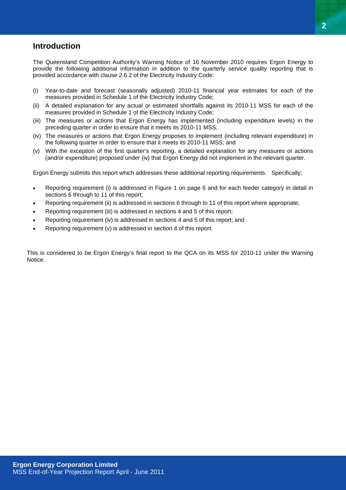## <span id="page-1-0"></span>**Introduction**

The Queensland Competition Authority's Warning Notice of 16 November 2010 requires Ergon Energy to provide the following additional information in addition to the quarterly service quality reporting that is provided accordance with clause 2.6.2 of the Electricity Industry Code:

- (i) Year-to-date and forecast (seasonally adjusted) 2010-11 financial year estimates for each of the measures provided in Schedule 1 of the Electricity Industry Code;
- (ii) A detailed explanation for any actual or estimated shortfalls against its 2010-11 MSS for each of the measures provided in Schedule 1 of the Electricity Industry Code;
- (iii) The measures or actions that Ergon Energy has implemented (including expenditure levels) in the preceding quarter in order to ensure that it meets its 2010-11 MSS;
- (iv) The measures or actions that Ergon Energy proposes to implement (including relevant expenditure) in the following quarter in order to ensure that it meets its 2010-11 MSS; and
- (v) With the exception of the first quarter's reporting, a detailed explanation for any measures or actions (and/or expenditure) proposed under (iv) that Ergon Energy did not implement in the relevant quarter.

Ergon Energy submits this report which addresses these additional reporting requirements. Specifically:

- Reporting requirement (i) is addressed in Figure 1 on page 6 and for each feeder category in detail in sections 6 through to 11 of this report;
- Reporting requirement (ii) is addressed in sections 6 through to 11 of this report where appropriate;
- Reporting requirement (iii) is addressed in sections 4 and 5 of this report;
- Reporting requirement (iv) is addressed in sections 4 and 5 of this report; and
- Reporting requirement (v) is addressed in section 4 of this report.

This is considered to be Ergon Energy's final report to the QCA on its MSS for 2010-11 under the Warning Notice.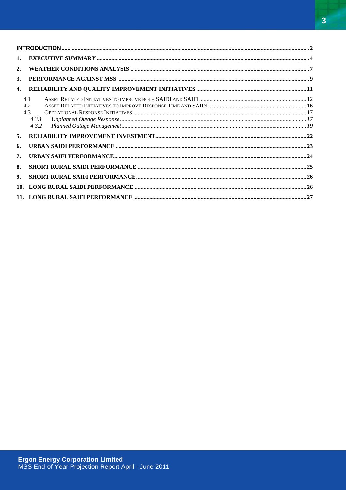$\mathbf{1}$  $\overline{2}$ .  $\mathbf{z}$  $\Delta$  $4.1$  $42$ 4.3  $4.3.1$  $4.3.2$  $\overline{5}$ . 6  $\overline{7}$ . 8.  $\mathbf{Q}$  $10<sup>1</sup>$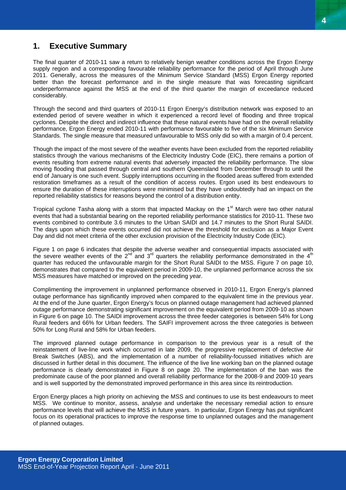# <span id="page-3-0"></span>**1. Executive Summary**

The final quarter of 2010-11 saw a return to relatively benign weather conditions across the Ergon Energy supply region and a corresponding favourable reliability performance for the period of April through June 2011. Generally, across the measures of the Minimum Service Standard (MSS) Ergon Energy reported better than the forecast performance and in the single measure that was forecasting significant underperformance against the MSS at the end of the third quarter the margin of exceedance reduced considerably.

Through the second and third quarters of 2010-11 Ergon Energy's distribution network was exposed to an extended period of severe weather in which it experienced a record level of flooding and three tropical cyclones. Despite the direct and indirect influence that these natural events have had on the overall reliability performance, Ergon Energy ended 2010-11 with performance favourable to five of the six Minimum Service Standards. The single measure that measured unfavourable to MSS only did so with a margin of 0.4 percent.

Though the impact of the most severe of the weather events have been excluded from the reported reliability statistics through the various mechanisms of the Electricity Industry Code (EIC), there remains a portion of events resulting from extreme natural events that adversely impacted the reliability performance. The slow moving flooding that passed through central and southern Queensland from December through to until the end of January is one such event. Supply interruptions occurring in the flooded areas suffered from extended restoration timeframes as a result of the condition of access routes. Ergon used its best endeavours to ensure the duration of these interruptions were minimised but they have undoubtedly had an impact on the reported reliability statistics for reasons beyond the control of a distribution entity.

Tropical cyclone Tasha along with a storm that impacted Mackay on the  $1<sup>st</sup>$  March were two other natural events that had a substantial bearing on the reported reliability performance statistics for 2010-11. These two events combined to contribute 3.6 minutes to the Urban SAIDI and 14.7 minutes to the Short Rural SAIDI. The days upon which these events occurred did not achieve the threshold for exclusion as a Major Event Day and did not meet criteria of the other exclusion provision of the Electricity Industry Code (EIC).

Figure 1 on page 6 indicates that despite the adverse weather and consequential impacts associated with the severe weather events of the  $2^{nd}$  and  $3^{rd}$  quarters the reliability performance demonstrated in the  $4^{th}$ quarter has reduced the unfavourable margin for the Short Rural SAIDI to the MSS. Figure 7 on page 10, demonstrates that compared to the equivalent period in 2009-10, the unplanned performance across the six MSS measures have matched or improved on the preceding year.

Complimenting the improvement in unplanned performance observed in 2010-11, Ergon Energy's planned outage performance has significantly improved when compared to the equivalent time in the previous year. At the end of the June quarter, Ergon Energy's focus on planned outage management had achieved planned outage performance demonstrating significant improvement on the equivalent period from 2009-10 as shown in Figure 6 on page 10. The SAIDI improvement across the three feeder categories is between 54% for Long Rural feeders and 66% for Urban feeders. The SAIFI improvement across the three categories is between 50% for Long Rural and 58% for Urban feeders.

The improved planned outage performance in comparison to the previous year is a result of the reinstatement of live-line work which occurred in late 2009, the progressive replacement of defective Air Break Switches (ABS), and the implementation of a number of reliability-focussed initiatives which are discussed in further detail in this document. The influence of the live line working ban on the planned outage performance is clearly demonstrated in Figure 8 on page 20. The implementation of the ban was the predominate cause of the poor planned and overall reliability performance for the 2008-9 and 2009-10 years and is well supported by the demonstrated improved performance in this area since its reintroduction.

Ergon Energy places a high priority on achieving the MSS and continues to use its best endeavours to meet MSS. We continue to monitor, assess, analyse and undertake the necessary remedial action to ensure performance levels that will achieve the MSS in future years. In particular, Ergon Energy has put significant focus on its operational practices to improve the response time to unplanned outages and the management of planned outages.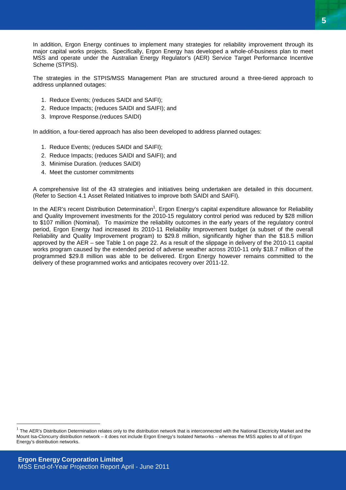In addition, Ergon Energy continues to implement many strategies for reliability improvement through its major capital works projects. Specifically, Ergon Energy has developed a whole-of-business plan to meet MSS and operate under the Australian Energy Regulator's (AER) Service Target Performance Incentive Scheme (STPIS).

The strategies in the STPIS/MSS Management Plan are structured around a three-tiered approach to address unplanned outages:

- 1. Reduce Events; (reduces SAIDI and SAIFI);
- 2. Reduce Impacts; (reduces SAIDI and SAIFI); and
- 3. Improve Response.(reduces SAIDI)

In addition, a four-tiered approach has also been developed to address planned outages:

- 1. Reduce Events; (reduces SAIDI and SAIFI);
- 2. Reduce Impacts; (reduces SAIDI and SAIFI); and
- 3. Minimise Duration. (reduces SAIDI)
- 4. Meet the customer commitments

A comprehensive list of the 43 strategies and initiatives being undertaken are detailed in this document. (Refer to Section 4.1 Asset Related Initiatives to improve both SAIDI and SAIFI).

In the AER's recent Distribution Determination<sup>[1](#page-4-0)</sup>, Ergon Energy's capital expenditure allowance for Reliability and Quality Improvement investments for the 2010-15 regulatory control period was reduced by \$28 million to \$107 million (Nominal). To maximize the reliability outcomes in the early years of the regulatory control period, Ergon Energy had increased its 2010-11 Reliability Improvement budget (a subset of the overall Reliability and Quality Improvement program) to \$29.8 million, significantly higher than the \$18.5 million approved by the AER – see Table 1 on page 22. As a result of the slippage in delivery of the 2010-11 capital works program caused by the extended period of adverse weather across 2010-11 only \$18.7 million of the programmed \$29.8 million was able to be delivered. Ergon Energy however remains committed to the delivery of these programmed works and anticipates recovery over 2011-12.

 $\overline{a}$ 

<span id="page-4-0"></span>The AER's Distribution Determination relates only to the distribution network that is interconnected with the National Electricity Market and the Mount Isa-Cloncurry distribution network – it does not include Ergon Energy's Isolated Networks – whereas the MSS applies to all of Ergon Energy's distribution networks.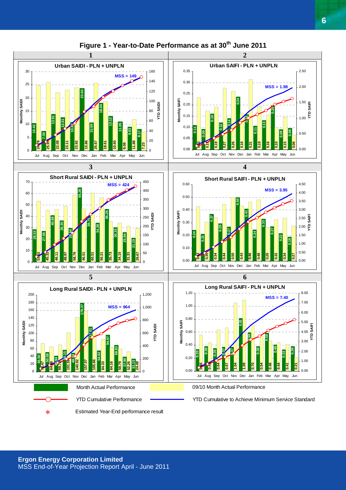

## **Figure 1 - Year-to-Date Performance as at 30th June 2011**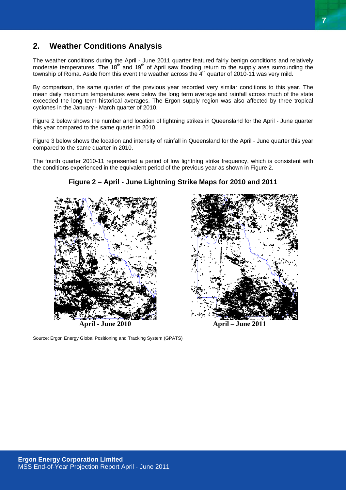## <span id="page-6-0"></span>**2. Weather Conditions Analysis**

The weather conditions during the April - June 2011 quarter featured fairly benign conditions and relatively moderate temperatures. The 18<sup>th</sup> and 19<sup>th</sup> of April saw flooding return to the supply area surrounding the township of Roma. Aside from this event the weather across the 4<sup>th</sup> quarter of 2010-11 was very mild.

By comparison, the same quarter of the previous year recorded very similar conditions to this year. The mean daily maximum temperatures were below the long term average and rainfall across much of the state exceeded the long term historical averages. The Ergon supply region was also affected by three tropical cyclones in the January - March quarter of 2010.

Figure 2 below shows the number and location of lightning strikes in Queensland for the April - June quarter this year compared to the same quarter in 2010.

Figure 3 below shows the location and intensity of rainfall in Queensland for the April - June quarter this year compared to the same quarter in 2010.

The fourth quarter 2010-11 represented a period of low lightning strike frequency, which is consistent with the conditions experienced in the equivalent period of the previous year as shown in Figure 2.

#### **Figure 2 – April - June Lightning Strike Maps for 2010 and 2011**

Source: Ergon Energy Global Positioning and Tracking System (GPATS)



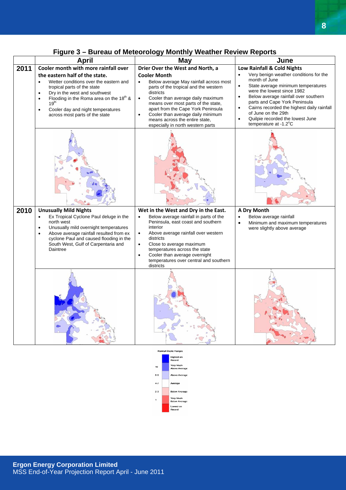|                               | <b>April</b>                                                                                                                                                                                                                                                                                               | <b>May</b>                                                                                                                                                                                                                                                                                                                                                                                    | June                                                                                                                                                                                                                                                                                                                                                                                       |  |  |
|-------------------------------|------------------------------------------------------------------------------------------------------------------------------------------------------------------------------------------------------------------------------------------------------------------------------------------------------------|-----------------------------------------------------------------------------------------------------------------------------------------------------------------------------------------------------------------------------------------------------------------------------------------------------------------------------------------------------------------------------------------------|--------------------------------------------------------------------------------------------------------------------------------------------------------------------------------------------------------------------------------------------------------------------------------------------------------------------------------------------------------------------------------------------|--|--|
| 2011                          | Cooler month with more rainfall over                                                                                                                                                                                                                                                                       | Drier Over the West and North, a                                                                                                                                                                                                                                                                                                                                                              | Low Rainfall & Cold Nights                                                                                                                                                                                                                                                                                                                                                                 |  |  |
|                               | the eastern half of the state.<br>Wetter conditions over the eastern and<br>$\bullet$<br>tropical parts of the state<br>Dry in the west and southwest<br>Flooding in the Roma area on the $18th$ &<br>19 <sup>th</sup><br>Cooler day and night temperatures<br>$\bullet$<br>across most parts of the state | <b>Cooler Month</b><br>Below average May rainfall across most<br>$\bullet$<br>parts of the tropical and the western<br>districts<br>Cooler than average daily maximum<br>$\bullet$<br>means over most parts of the state,<br>apart from the Cape York Peninsula<br>Cooler than average daily minimum<br>$\bullet$<br>means across the entire state,<br>especially in north western parts      | Very benign weather conditions for the<br>month of June<br>State average minimum temperatures<br>$\bullet$<br>were the lowest since 1982<br>Below average rainfall over southern<br>$\bullet$<br>parts and Cape York Peninsula<br>Cairns recorded the highest daily rainfall<br>$\bullet$<br>of June on the 29th<br>Quilpie recorded the lowest June<br>$\bullet$<br>temperature at -1.2°C |  |  |
|                               |                                                                                                                                                                                                                                                                                                            |                                                                                                                                                                                                                                                                                                                                                                                               |                                                                                                                                                                                                                                                                                                                                                                                            |  |  |
| 2010                          | <b>Unusually Mild Nights</b><br>Ex Tropical Cyclone Paul deluge in the<br>north west<br>Unusually mild overnight temperatures<br>Above average rainfall resulted from ex<br>$\bullet$<br>cyclone Paul and caused flooding in the<br>South West, Gulf of Carpentaria and<br>Daintree                        | Wet in the West and Dry in the East.<br>Below average rainfall in parts of the<br>$\bullet$<br>Peninsula, east coast and southern<br>interior<br>Above average rainfall over western<br>$\bullet$<br>districts<br>Close to average maximum<br>$\bullet$<br>temperatures across the state<br>Cooler than average overnight<br>$\bullet$<br>temperatures over central and southern<br>districts | <b>A Dry Month</b><br>Below average rainfall<br>$\bullet$<br>Minimum and maximum temperatures<br>$\bullet$<br>were slightly above average                                                                                                                                                                                                                                                  |  |  |
|                               |                                                                                                                                                                                                                                                                                                            |                                                                                                                                                                                                                                                                                                                                                                                               |                                                                                                                                                                                                                                                                                                                                                                                            |  |  |
| <b>Rainfall Decile Ranger</b> |                                                                                                                                                                                                                                                                                                            |                                                                                                                                                                                                                                                                                                                                                                                               |                                                                                                                                                                                                                                                                                                                                                                                            |  |  |

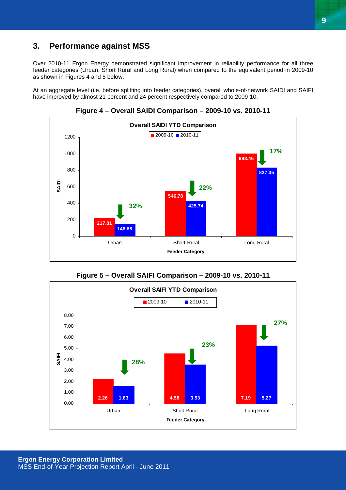## <span id="page-8-0"></span>**3. Performance against MSS**

Over 2010-11 Ergon Energy demonstrated significant improvement in reliability performance for all three feeder categories (Urban, Short Rural and Long Rural) when compared to the equivalent period in 2009-10 as shown in Figures 4 and 5 below.

At an aggregate level (i.e. before splitting into feeder categories), overall whole-of-network SAIDI and SAIFI have improved by almost 21 percent and 24 percent respectively compared to 2009-10.



**Figure 4 – Overall SAIDI Comparison – 2009-10 vs. 2010-11** 



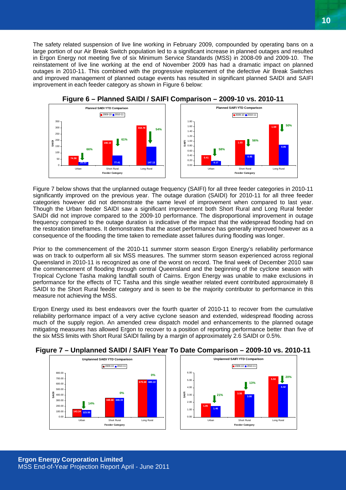The safety related suspension of live line working in February 2009, compounded by operating bans on a large portion of our Air Break Switch population led to a significant increase in planned outages and resulted in Ergon Energy not meeting five of six Minimum Service Standards (MSS) in 2008-09 and 2009-10. The reinstatement of live line working at the end of November 2009 has had a dramatic impact on planned outages in 2010-11. This combined with the progressive replacement of the defective Air Break Switches and improved management of planned outage events has resulted in significant planned SAIDI and SAIFI improvement in each feeder category as shown in Figure 6 below:



Figure 7 below shows that the unplanned outage frequency (SAIFI) for all three feeder categories in 2010-11 significantly improved on the previous year. The outage duration (SAIDI) for 2010-11 for all three feeder categories however did not demonstrate the same level of improvement when compared to last year. Though the Urban feeder SAIDI saw a significant improvement both Short Rural and Long Rural feeder SAIDI did not improve compared to the 2009-10 performance. The disproportional improvement in outage frequency compared to the outage duration is indicative of the impact that the widespread flooding had on the restoration timeframes. It demonstrates that the asset performance has generally improved however as a consequence of the flooding the time taken to remediate asset failures during flooding was longer.

Prior to the commencement of the 2010-11 summer storm season Ergon Energy's reliability performance was on track to outperform all six MSS measures. The summer storm season experienced across regional Queensland in 2010-11 is recognized as one of the worst on record. The final week of December 2010 saw the commencement of flooding through central Queensland and the beginning of the cyclone season with Tropical Cyclone Tasha making landfall south of Cairns. Ergon Energy was unable to make exclusions in performance for the effects of TC Tasha and this single weather related event contributed approximately 8 SAIDI to the Short Rural feeder category and is seen to be the majority contributor to performance in this measure not achieving the MSS.

Ergon Energy used its best endeavors over the fourth quarter of 2010-11 to recover from the cumulative reliability performance impact of a very active cyclone season and extended, widespread flooding across much of the supply region. An amended crew dispatch model and enhancements to the planned outage mitigating measures has allowed Ergon to recover to a position of reporting performance better than five of the six MSS limits with Short Rural SAIDI failing by a margin of approximately 2.6 SAIDI or 0.5%.



#### **Figure 7 – Unplanned SAIDI / SAIFI Year To Date Comparison – 2009-10 vs. 2010-11**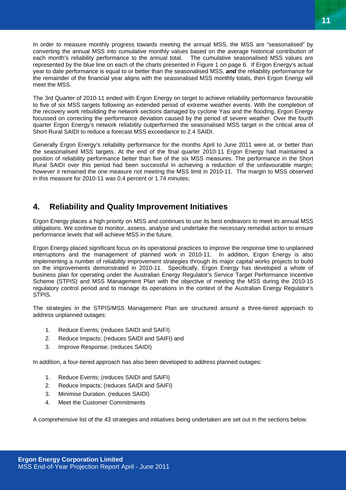<span id="page-10-0"></span>In order to measure monthly progress towards meeting the annual MSS, the MSS are "seasonalised" by converting the annual MSS into cumulative monthly values based on the average historical contribution of each month's reliability performance to the annual total. The cumulative seasonalised MSS values are represented by the blue line on each of the charts presented in Figure 1 on page 6. If Ergon Energy's actual year to date performance is equal to or better than the seasonalised MSS, *and* the reliability performance for the remainder of the financial year aligns with the seasonalised MSS monthly totals, then Ergon Energy will meet the MSS.

The 3rd Quarter of 2010-11 ended with Ergon Energy on target to achieve reliability performance favourable to five of six MSS targets following an extended period of extreme weather events. With the completion of the recovery work rebuilding the network sections damaged by cyclone Yasi and the flooding, Ergon Energy focussed on correcting the performance deviation caused by the period of severe weather. Over the fourth quarter Ergon Energy's network reliability outperformed the seasonalised MSS target in the critical area of Short Rural SAIDI to reduce a forecast MSS exceedance to 2.4 SAIDI.

Generally Ergon Energy's reliability performance for the months April to June 2011 were at, or better than the seasonalised MSS targets. At the end of the final quarter 2010-11 Ergon Energy had maintained a position of reliability performance better than five of the six MSS measures. The performance in the Short Rural SAIDI over this period had been successful in achieving a reduction of the unfavourable margin; however it remained the one measure not meeting the MSS limit in 2010-11. The margin to MSS observed in this measure for 2010-11 was 0.4 percent or 1.74 minutes;

## **4. Reliability and Quality Improvement Initiatives**

Ergon Energy places a high priority on MSS and continues to use its best endeavors to meet its annual MSS obligations. We continue to monitor, assess, analyse and undertake the necessary remedial action to ensure performance levels that will achieve MSS in the future.

Ergon Energy placed significant focus on its operational practices to improve the response time to unplanned interruptions and the management of planned work in 2010-11. In addition, Ergon Energy is also implementing a number of reliability improvement strategies through its major capital works projects to build on the improvements demonstrated in 2010-11. Specifically, Ergon Energy has developed a whole of business plan for operating under the Australian Energy Regulator's Service Target Performance Incentive Scheme (STPIS) and MSS Management Plan with the objective of meeting the MSS during the 2010-15 regulatory control period and to manage its operations in the context of the Australian Energy Regulator's STPIS.

The strategies in the STPIS/MSS Management Plan are structured around a three-tiered approach to address unplanned outages:

- 1. Reduce Events; (reduces SAIDI and SAIFI)
- 2. Reduce Impacts; (reduces SAIDI and SAIFI) and
- 3. Improve Response; (reduces SAIDI)

In addition, a four-tiered approach has also been developed to address planned outages:

- 1. Reduce Events; (reduces SAIDI and SAIFI)
- 2. Reduce Impacts; (reduces SAIDI and SAIFI)
- 3. Minimise Duration. (reduces SAIDI)
- 4. Meet the Customer Commitments

A comprehensive list of the 43 strategies and initiatives being undertaken are set out in the sections below.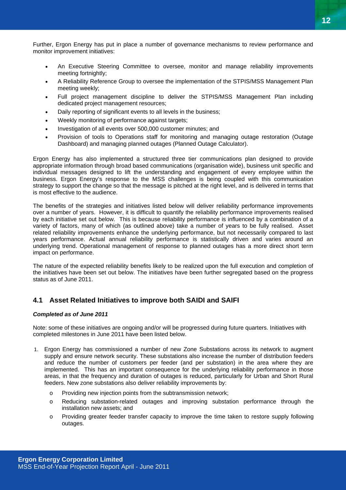<span id="page-11-0"></span>Further, Ergon Energy has put in place a number of governance mechanisms to review performance and monitor improvement initiatives:

- An Executive Steering Committee to oversee, monitor and manage reliability improvements meeting fortnightly;
- A Reliability Reference Group to oversee the implementation of the STPIS/MSS Management Plan meeting weekly;
- Full project management discipline to deliver the STPIS/MSS Management Plan including dedicated project management resources;
- Daily reporting of significant events to all levels in the business;
- Weekly monitoring of performance against targets;
- Investigation of all events over 500,000 customer minutes; and
- Provision of tools to Operations staff for monitoring and managing outage restoration (Outage Dashboard) and managing planned outages (Planned Outage Calculator).

Ergon Energy has also implemented a structured three tier communications plan designed to provide appropriate information through broad based communications (organisation wide), business unit specific and individual messages designed to lift the understanding and engagement of every employee within the business. Ergon Energy's response to the MSS challenges is being coupled with this communication strategy to support the change so that the message is pitched at the right level, and is delivered in terms that is most effective to the audience.

The benefits of the strategies and initiatives listed below will deliver reliability performance improvements over a number of years. However, it is difficult to quantify the reliability performance improvements realised by each initiative set out below. This is because reliability performance is influenced by a combination of a variety of factors, many of which (as outlined above) take a number of years to be fully realised. Asset related reliability improvements enhance the underlying performance, but not necessarily compared to last years performance. Actual annual reliability performance is statistically driven and varies around an underlying trend. Operational management of response to planned outages has a more direct short term impact on performance.

The nature of the expected reliability benefits likely to be realized upon the full execution and completion of the initiatives have been set out below. The initiatives have been further segregated based on the progress status as of June 2011.

### **4.1 Asset Related Initiatives to improve both SAIDI and SAIFI**

#### *Completed as of June 2011*

Note: some of these initiatives are ongoing and/or will be progressed during future quarters. Initiatives with completed milestones in June 2011 have been listed below.

- 1. Ergon Energy has commissioned a number of new Zone Substations across its network to augment supply and ensure network security. These substations also increase the number of distribution feeders and reduce the number of customers per feeder (and per substation) in the area where they are implemented. This has an important consequence for the underlying reliability performance in those areas, in that the frequency and duration of outages is reduced, particularly for Urban and Short Rural feeders. New zone substations also deliver reliability improvements by:
	- o Providing new injection points from the subtransmission network;
	- o Reducing substation-related outages and improving substation performance through the installation new assets; and
	- o Providing greater feeder transfer capacity to improve the time taken to restore supply following outages.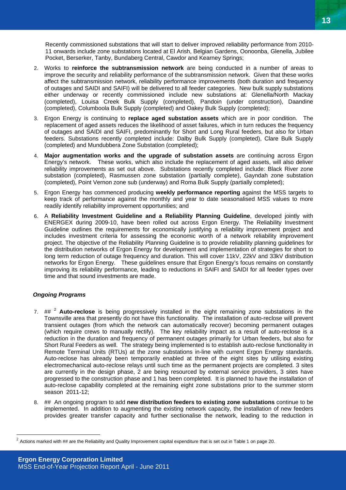Recently commissioned substations that will start to deliver improved reliability performance from 2010- 11 onwards include zone substations located at El Arish, Belgian Gardens, Oonoonba, Glenella, Jubilee Pocket, Berserker, Tanby, Bundaberg Central, Cawdor and Kearney Springs;

- 2. Works to **reinforce the subtransmission network** are being conducted in a number of areas to improve the security and reliability performance of the subtransmission network. Given that these works affect the subtransmission network, reliability performance improvements (both duration and frequency of outages and SAIDI and SAIFI) will be delivered to all feeder categories. New bulk supply substations either underway or recently commissioned include new substations at: Glenella/North Mackay (completed), Louisa Creek Bulk Supply (completed), Pandoin (under construction), Daandine (completed), Columboola Bulk Supply (completed) and Oakey Bulk Supply (completed);
- 3. Ergon Energy is continuing to **replace aged substation assets** which are in poor condition. The replacement of aged assets reduces the likelihood of asset failures, which in turn reduces the frequency of outages and SAIDI and SAIFI, predominantly for Short and Long Rural feeders, but also for Urban feeders. Substations recently completed include: Dalby Bulk Supply (completed), Clare Bulk Supply (completed) and Mundubbera Zone Substation (completed);
- 4. **Major augmentation works and the upgrade of substation assets** are continuing across Ergon Energy's network. These works, which also include the replacement of aged assets, will also deliver reliability improvements as set out above. Substations recently completed include: Black River zone substation (completed), Rasmussen zone substation (partially complete), Gayndah zone substation (completed), Point Vernon zone sub (underway) and Roma Bulk Supply (partially completed);
- 5. Ergon Energy has commenced producing **weekly performance reporting** against the MSS targets to keep track of performance against the monthly and year to date seasonalised MSS values to more readily identify reliability improvement opportunities; and
- 6. A **Reliability Investment Guideline and a Reliability Planning Guideline**, developed jointly with ENERGEX during 2009-10, have been rolled out across Ergon Energy. The Reliability Investment Guideline outlines the requirements for economically justifying a reliability improvement project and includes investment criteria for assessing the economic worth of a network reliability improvement project. The objective of the Reliability Planning Guideline is to provide reliability planning guidelines for the distribution networks of Ergon Energy for development and implementation of strategies for short to long term reduction of outage frequency and duration. This will cover 11kV, 22kV and 33kV distribution networks for Ergon Energy. These guidelines ensure that Ergon Energy's focus remains on constantly improving its reliability performance, leading to reductions in SAIFI and SAIDI for all feeder types over time and that sound investments are made.

#### *Ongoing Programs*

 $\overline{a}$ 

- 7. ## [2](#page-12-0) **Auto-reclose** is being progressively installed in the eight remaining zone substations in the Townsville area that presently do not have this functionality. The installation of auto-reclose will prevent transient outages (from which the network can automatically recover) becoming permanent outages (which require crews to manually rectify). The key reliability impact as a result of auto-reclose is a reduction in the duration and frequency of permanent outages primarily for Urban feeders, but also for Short Rural Feeders as well. The strategy being implemented is to establish auto-reclose functionality in Remote Terminal Units (RTUs) at the zone substations in-line with current Ergon Energy standards. Auto-reclose has already been temporarily enabled at three of the eight sites by utilising existing electromechanical auto-reclose relays until such time as the permanent projects are completed. 3 sites are currently in the design phase, 2 are being resourced by external service providers, 3 sites have progressed to the construction phase and 1 has been completed. It is planned to have the installation of auto-reclose capability completed at the remaining eight zone substations prior to the summer storm season 2011-12;
- 8. ## An ongoing program to add **new distribution feeders to existing zone substations** continue to be implemented. In addition to augmenting the existing network capacity, the installation of new feeders provides greater transfer capacity and further sectionalise the network, leading to the reduction in

<span id="page-12-0"></span> $2$  Actions marked with  $\#$  are the Reliability and Quality Improvement capital expenditure that is set out in Table 1 on page 20.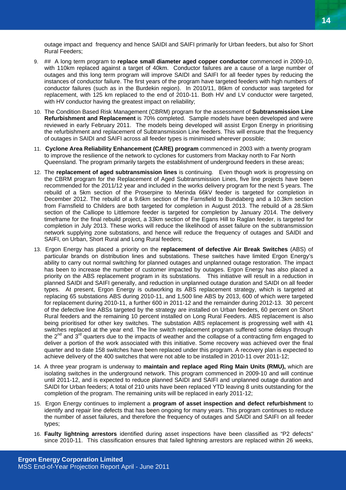outage impact and frequency and hence SAIDI and SAIFI primarily for Urban feeders, but also for Short Rural Feeders;

- 9. ## A long term program to **replace small diameter aged copper conductor** commenced in 2009-10, with 110km replaced against a target of 40km. Conductor failures are a cause of a large number of outages and this long term program will improve SAIDI and SAIFI for all feeder types by reducing the instances of conductor failure. The first years of the program have targeted feeders with high numbers of conductor failures (such as in the Burdekin region). In 2010/11, 86km of conductor was targeted for replacement, with 125 km replaced to the end of 2010-11. Both HV and LV conductor were targeted, with HV conductor having the greatest impact on reliability;
- 10. The Condition Based Risk Management (CBRM) program for the assessment of **Subtransmission Line Refurbishment and Replacement** is 70% completed. Sample models have been developed and were reviewed in early February 2011. The models being developed will assist Ergon Energy in prioritising the refurbishment and replacement of Subtransmission Line feeders. This will ensure that the frequency of outages in SAIDI and SAIFI across all feeder types is minimised wherever possible;
- 11. **Cyclone Area Reliability Enhancement (CARE) program** commenced in 2003 with a twenty program to improve the resilience of the network to cyclones for customers from Mackay north to Far North Queensland. The program primarily targets the establishment of underground feeders in these areas;
- 12. The **replacement of aged subtransmission lines** is continuing. Even though work is progressing on the CBRM program for the Replacement of Aged Subtransmission Lines, five line projects have been recommended for the 2011/12 year and included in the works delivery program for the next 5 years. The rebuild of a 5km section of the Proserpine to Merinda 66kV feeder is targeted for completion in December 2012. The rebuild of a 9.6km section of the Farnsfield to Bundaberg and a 10.3km section from Farnsfield to Childers are both targeted for completion in August 2013. The rebuild of a 28.5km section of the Calliope to Littlemore feeder is targeted for completion by January 2014. The delivery timeframe for the final rebuild project, a 33km section of the Egans Hill to Raglan feeder, is targeted for completion in July 2013. These works will reduce the likelihood of asset failure on the subtransmission network supplying zone substations, and hence will reduce the frequency of outages and SAIDI and SAIFI, on Urban, Short Rural and Long Rural feeders;
- 13. Ergon Energy has placed a priority on the **replacement of defective Air Break Switches** (ABS) of particular brands on distribution lines and substations. These switches have limited Ergon Energy's ability to carry out normal switching for planned outages and unplanned outage restoration. The impact has been to increase the number of customer impacted by outages. Ergon Energy has also placed a priority on the ABS replacement program in its substations. This initiative will result in a reduction in planned SAIDI and SAIFI generally, and reduction in unplanned outage duration and SAIDI on all feeder types. At present, Ergon Energy is outworking its ABS replacement strategy, which is targeted at replacing 65 substations ABS during 2010-11, and 1,500 line ABS by 2013, 600 of which were targeted for replacement during 2010-11, a further 600 in 2011-12 and the remainder during 2012-13. 30 percent of the defective line ABSs targeted by the strategy are installed on Urban feeders, 60 percent on Short Rural feeders and the remaining 10 percent installed on Long Rural Feeders. ABS replacement is also being prioritised for other key switches. The substation ABS replacement is progressing well with 41 switches replaced at the year end. The line switch replacement program suffered some delays through the  $2^{nd}$  and  $3^{rd}$  quarters due to the impacts of weather and the collapse of a contracting firm engaged to deliver a portion of the work associated with this initiative. Some recovery was achieved over the final quarter and to date 158 switches have been replaced under this program. A recovery plan is expected to achieve delivery of the 400 switches that were not able to be installed in 2010-11 over 2011-12;
- 14. A three year program is underway to **maintain and replace aged Ring Main Units (RMU),** which are isolating switches in the underground network. This program commenced in 2009-10 and will continue until 2011-12, and is expected to reduce planned SAIDI and SAIFI and unplanned outage duration and SAIDI for Urban feeders; A total of 210 units have been replaced YTD leaving 8 units outstanding for the completion of the program. The remaining units will be replaced in early 2011-12;
- 15. Ergon Energy continues to implement a **program of asset inspection and defect refurbishment** to identify and repair line defects that has been ongoing for many years. This program continues to reduce the number of asset failures, and therefore the frequency of outages and SAIDI and SAIFI on all feeder types;
- 16. **Faulty lightning arrestors** identified during asset inspections have been classified as "P2 defects" since 2010-11. This classification ensures that failed lightning arrestors are replaced within 26 weeks,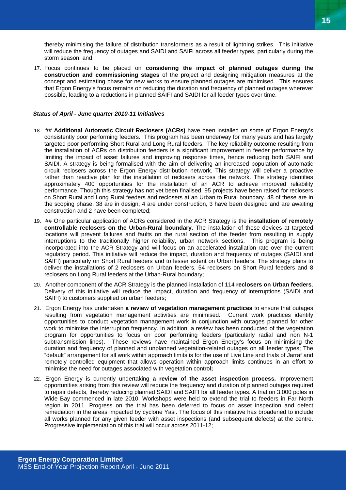thereby minimising the failure of distribution transformers as a result of lightning strikes. This initiative will reduce the frequency of outages and SAIDI and SAIFI across all feeder types, particularly during the storm season; and

17. Focus continues to be placed on **considering the impact of planned outages during the construction and commissioning stages** of the project and designing mitigation measures at the concept and estimating phase for new works to ensure planned outages are minimised. This ensures that Ergon Energy's focus remains on reducing the duration and frequency of planned outages wherever possible, leading to a reductions in planned SAIFI and SAIDI for all feeder types over time.

#### *Status of April - June quarter 2010-11 Initiatives*

- 18. ## **Additional Automatic Circuit Reclosers (ACRs)** have been installed on some of Ergon Energy's consistently poor performing feeders. This program has been underway for many years and has largely targeted poor performing Short Rural and Long Rural feeders. The key reliability outcome resulting from the installation of ACRs on distribution feeders is a significant improvement in feeder performance by limiting the impact of asset failures and improving response times, hence reducing both SAIFI and SAIDI. A strategy is being formalised with the aim of delivering an increased population of automatic circuit reclosers across the Ergon Energy distribution network. This strategy will deliver a proactive rather than reactive plan for the installation of reclosers across the network. The strategy identifies approximately 400 opportunities for the installation of an ACR to achieve improved reliability performance. Though this strategy has not yet been finalised, 95 projects have been raised for reclosers on Short Rural and Long Rural feeders and reclosers at an Urban to Rural boundary. 48 of these are in the scoping phase, 38 are in design, 4 are under construction, 3 have been designed and are awaiting construction and 2 have been completed;
- 19. ## One particular application of ACRs considered in the ACR Strategy is the **installation of remotely controllable reclosers on the Urban-Rural boundary.** The installation of these devices at targeted locations will prevent failures and faults on the rural section of the feeder from resulting in supply interruptions to the traditionally higher reliability, urban network sections. This program is being incorporated into the ACR Strategy and will focus on an accelerated installation rate over the current regulatory period. This initiative will reduce the impact, duration and frequency of outages (SAIDI and SAIFI) particularly on Short Rural feeders and to lesser extent on Urban feeders. The strategy plans to deliver the installations of 2 reclosers on Urban feeders, 54 reclosers on Short Rural feeders and 8 reclosers on Long Rural feeders at the Urban-Rural boundary;
- 20. Another component of the ACR Strategy is the planned installation of 114 **reclosers on Urban feeders**. Delivery of this initiative will reduce the impact, duration and frequency of interruptions (SAIDI and SAIFI) to customers supplied on urban feeders;
- 21. Ergon Energy has undertaken **a review of vegetation management practices** to ensure that outages resulting from vegetation management activities are minimised. Current work practices identify opportunities to conduct vegetation management work in conjunction with outages planned for other work to minimise the interruption frequency. In addition, a review has been conducted of the vegetation program for opportunities to focus on poor performing feeders (particularly radial and non N-1 subtransmission lines). These reviews have maintained Ergon Energy's focus on minimising the duration and frequency of planned and unplanned vegetation-related outages on all feeder types; The "default" arrangement for all work within approach limits is for the use of Live Line and trials of Jarraf and remotely controlled equipment that allows operation within approach limits continues in an effort to minimise the need for outages associated with vegetation control**;**
- 22. Ergon Energy is currently undertaking **a review of the asset inspection process.** Improvement opportunities arising from this review will reduce the frequency and duration of planned outages required to repair defects, thereby reducing planned SAIDI and SAIFI for all feeder types. A trial on 3,000 poles in Wide Bay commenced in late 2010. Workshops were held to extend the trial to feeders in Far North region in 2011. Progress on the trial has been deferred to focus on asset inspection and defect remediation in the areas impacted by cyclone Yasi. The focus of this initiative has broadened to include all works planned for any given feeder with asset inspections (and subsequent defects) at the centre. Progressive implementation of this trial will occur across 2011-12;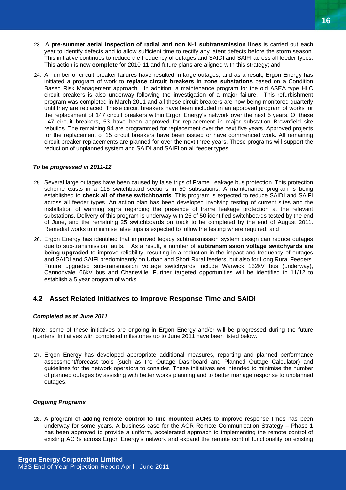- <span id="page-15-0"></span>23. A **pre-summer aerial inspection of radial and non N-1 subtransmission lines** is carried out each year to identify defects and to allow sufficient time to rectify any latent defects before the storm season. This initiative continues to reduce the frequency of outages and SAIDI and SAIFI across all feeder types. This action is now **complete** for 2010-11 and future plans are aligned with this strategy; and
- 24. A number of circuit breaker failures have resulted in large outages, and as a result, Ergon Energy has initiated a program of work to **replace circuit breakers in zone substations** based on a Condition Based Risk Management approach. In addition, a maintenance program for the old ASEA type HLC circuit breakers is also underway following the investigation of a major failure. This refurbishment program was completed in March 2011 and all these circuit breakers are now being monitored quarterly until they are replaced. These circuit breakers have been included in an approved program of works for the replacement of 147 circuit breakers within Ergon Energy's network over the next 5 years. Of these 147 circuit breakers, 53 have been approved for replacement in major substation Brownfield site rebuilds. The remaining 94 are programmed for replacement over the next five years. Approved projects for the replacement of 15 circuit breakers have been issued or have commenced work. All remaining circuit breaker replacements are planned for over the next three years. These programs will support the reduction of unplanned system and SAIDI and SAIFI on all feeder types.

#### *To be progressed in 2011-12*

- 25. Several large outages have been caused by false trips of Frame Leakage bus protection. This protection scheme exists in a 115 switchboard sections in 50 substations. A maintenance program is being established to **check all of these switchboards**. This program is expected to reduce SAIDI and SAIFI across all feeder types. An action plan has been developed involving testing of current sites and the installation of warning signs regarding the presence of frame leakage protection at the relevant substations. Delivery of this program is underway with 25 of 50 identified switchboards tested by the end of June, and the remaining 25 switchboards on track to be completed by the end of August 2011. Remedial works to minimise false trips is expected to follow the testing where required; and
- 26. Ergon Energy has identified that improved legacy subtransmission system design can reduce outages due to sub-transmission faults. As a result, a number of **subtransmission voltage switchyards are being upgraded** to improve reliability, resulting in a reduction in the impact and frequency of outages and SAIDI and SAIFI predominantly on Urban and Short Rural feeders, but also for Long Rural Feeders. Future upgraded sub-transmission voltage switchyards include Warwick 132kV bus (underway), Cannonvale 66kV bus and Charleville. Further targeted opportunities will be identified in 11/12 to establish a 5 year program of works.

### **4.2 Asset Related Initiatives to Improve Response Time and SAIDI**

#### *Completed as at June 2011*

Note: some of these initiatives are ongoing in Ergon Energy and/or will be progressed during the future quarters. Initiatives with completed milestones up to June 2011 have been listed below.

27. Ergon Energy has developed appropriate additional measures, reporting and planned performance assessment/forecast tools (such as the Outage Dashboard and Planned Outage Calculator) and guidelines for the network operators to consider. These initiatives are intended to minimise the number of planned outages by assisting with better works planning and to better manage response to unplanned outages.

#### *Ongoing Programs*

28. A program of adding **remote control to line mounted ACRs** to improve response times has been underway for some years. A business case for the ACR Remote Communication Strategy – Phase 1 has been approved to provide a uniform, accelerated approach to implementing the remote control of existing ACRs across Ergon Energy's network and expand the remote control functionality on existing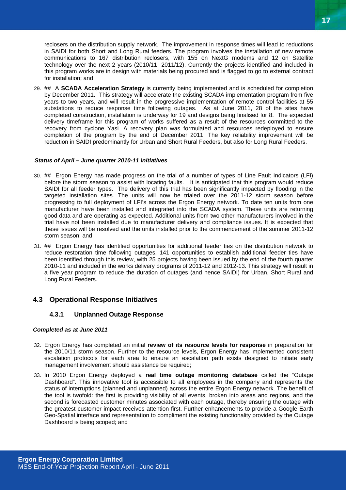<span id="page-16-0"></span>reclosers on the distribution supply network. The improvement in response times will lead to reductions in SAIDI for both Short and Long Rural feeders. The program involves the installation of new remote communications to 167 distribution reclosers, with 155 on NextG modems and 12 on Satellite technology over the next 2 years (2010/11 -2011/12). Currently the projects identified and included in this program works are in design with materials being procured and is flagged to go to external contract for installation; and

29. ## A **SCADA Acceleration Strategy** is currently being implemented and is scheduled for completion by December 2011. This strategy will accelerate the existing SCADA implementation program from five years to two years, and will result in the progressive implementation of remote control facilities at 55 substations to reduce response time following outages. As at June 2011, 28 of the sites have completed construction, installation is underway for 19 and designs being finalised for 8. The expected delivery timeframe for this program of works suffered as a result of the resources committed to the recovery from cyclone Yasi. A recovery plan was formulated and resources redeployed to ensure completion of the program by the end of December 2011. The key reliability improvement will be reduction in SAIDI predominantly for Urban and Short Rural Feeders, but also for Long Rural Feeders.

#### *Status of April – June quarter 2010-11 initiatives*

- 30. ## Ergon Energy has made progress on the trial of a number of types of Line Fault Indicators (LFI) before the storm season to assist with locating faults. It is anticipated that this program would reduce SAIDI for all feeder types. The delivery of this trial has been significantly impacted by flooding in the targeted installation sites. The units will now be trialed over the 2011-12 storm season before progressing to full deployment of LFI's across the Ergon Energy network. To date ten units from one manufacturer have been installed and integrated into the SCADA system. These units are returning good data and are operating as expected. Additional units from two other manufacturers involved in the trial have not been installed due to manufacturer delivery and compliance issues. It is expected that these issues will be resolved and the units installed prior to the commencement of the summer 2011-12 storm season; and
- 31. ## Ergon Energy has identified opportunities for additional feeder ties on the distribution network to reduce restoration time following outages. 141 opportunities to establish additional feeder ties have been identified through this review, with 25 projects having been issued by the end of the fourth quarter 2010-11 and included in the works delivery programs of 2011-12 and 2012-13. This strategy will result in a five year program to reduce the duration of outages (and hence SAIDI) for Urban, Short Rural and Long Rural Feeders.

#### **4.3 Operational Response Initiatives**

#### **4.3.1 Unplanned Outage Response**

#### *Completed as at June 2011*

- 32. Ergon Energy has completed an initial **review of its resource levels for response** in preparation for the 2010/11 storm season. Further to the resource levels, Ergon Energy has implemented consistent escalation protocols for each area to ensure an escalation path exists designed to initiate early management involvement should assistance be required;
- 33. In 2010 Ergon Energy deployed a **real time outage monitoring database** called the "Outage Dashboard". This innovative tool is accessible to all employees in the company and represents the status of interruptions (planned and unplanned) across the entire Ergon Energy network. The benefit of the tool is twofold: the first is providing visibility of all events, broken into areas and regions, and the second is forecasted customer minutes associated with each outage, thereby ensuring the outage with the greatest customer impact receives attention first. Further enhancements to provide a Google Earth Geo-Spatial interface and representation to compliment the existing functionality provided by the Outage Dashboard is being scoped; and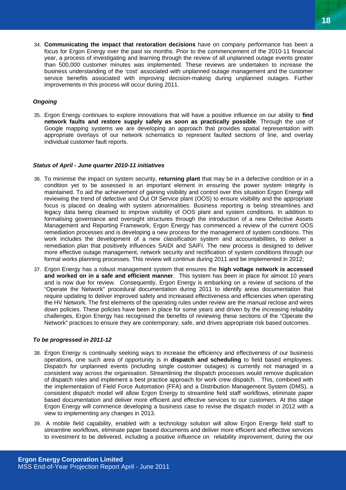34. **Communicating the impact that restoration decisions** have on company performance has been a focus for Ergon Energy over the past six months. Prior to the commencement of the 2010-11 financial year, a process of investigating and learning through the review of all unplanned outage events greater than 500,000 customer minutes was implemented. These reviews are undertaken to increase the business understanding of the 'cost' associated with unplanned outage management and the customer service benefits associated with improving decision-making during unplanned outages. Further improvements in this process will occur during 2011.

#### *Ongoing*

35. Ergon Energy continues to explore innovations that will have a positive influence on our ability to **find network faults and restore supply safely as soon as practically possible**. Through the use of Google mapping systems we are developing an approach that provides spatial representation with appropriate overlays of our network schematics to represent faulted sections of line, and overlay individual customer fault reports.

#### *Status of April - June quarter 2010-11 initiatives*

- 36. To minimise the impact on system security, **returning plant** that may be in a defective condition or in a condition yet to be assessed is an important element in ensuring the power system integrity is maintained. To aid the achievement of gaining visibility and control over this situation Ergon Energy will reviewing the trend of defective and Out Of Service plant (OOS) to ensure visibility and the appropriate focus is placed on dealing with system abnormalities. Business reporting is being streamlines and legacy data being cleansed to improve visibility of OOS plant and system conditions. In addition to formalising governance and oversight structures through the introduction of a new Defective Assets Management and Reporting Framework, Ergon Energy has commenced a review of the current OOS remediation processes and is developing a new process for the management of system conditions. This work includes the development of a new classification system and accountabilities, to deliver a remediation plan that positively influences SAIDI and SAIFI. The new process is designed to deliver more effective outage management, network security and rectification of system conditions through our formal works planning processes. This review will continue during 2011 and be implemented in 2012;
- 37. Ergon Energy has a robust management system that ensures the **high voltage network is accessed and worked on in a safe and efficient manner**. This system has been in place for almost 10 years and is now due for review. Consequently, Ergon Energy is embarking on a review of sections of the "Operate the Network" procedural documentation during 2011 to identify areas documentation that require updating to deliver improved safety and increased effectiveness and efficiencies when operating the HV Network. The first elements of the operating rules under review are the manual reclose and wires down policies. These policies have been in place for some years and driven by the increasing reliability challenges, Ergon Energy has recognised the benefits of reviewing these sections of the "Operate the Network" practices to ensure they are contemporary, safe, and drives appropriate risk based outcomes.

#### *To be progressed in 2011-12*

- 38. Ergon Energy is continually seeking ways to increase the efficiency and effectiveness of our business operations, one such area of opportunity is in **dispatch and scheduling** to field based employees. Dispatch for unplanned events (including single customer outages) is currently not managed in a consistent way across the organisation. Streamlining the dispatch processes would remove duplication of dispatch roles and implement a best practice approach for work crew dispatch. . This, combined with the implementation of Field Force Automation (FFA) and a Distribution Management System (DMS), a consistent dispatch model will allow Ergon Energy to streamline field staff workflows, eliminate paper based documentation and deliver more efficient and effective services to our customers. At this stage Ergon Energy will commence developing a business case to revise the dispatch model in 2012 with a view to implementing any changes in 2013.
- 39. A mobile field capability, enabled with a technology solution will allow Ergon Energy field staff to streamline workflows, eliminate paper based documents and deliver more efficient and effective services to investment to be delivered, including a positive influence on reliability improvement, during the our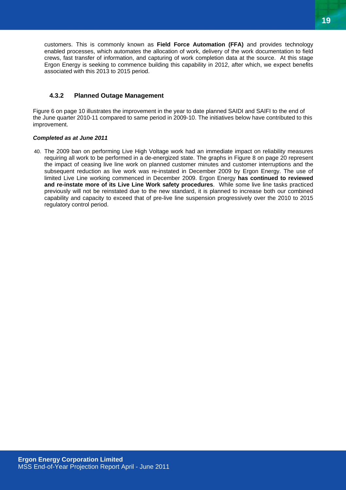<span id="page-18-0"></span>customers. This is commonly known as **Field Force Automation (FFA)** and provides technology enabled processes, which automates the allocation of work, delivery of the work documentation to field crews, fast transfer of information, and capturing of work completion data at the source. At this stage Ergon Energy is seeking to commence building this capability in 2012, after which, we expect benefits associated with this 2013 to 2015 period.

#### **4.3.2 Planned Outage Management**

Figure 6 on page 10 illustrates the improvement in the year to date planned SAIDI and SAIFI to the end of the June quarter 2010-11 compared to same period in 2009-10. The initiatives below have contributed to this improvement.

#### *Completed as at June 2011*

40. The 2009 ban on performing Live High Voltage work had an immediate impact on reliability measures requiring all work to be performed in a de-energized state. The graphs in Figure 8 on page 20 represent the impact of ceasing live line work on planned customer minutes and customer interruptions and the subsequent reduction as live work was re-instated in December 2009 by Ergon Energy. The use of limited Live Line working commenced in December 2009. Ergon Energy **has continued to reviewed and re-instate more of its Live Line Work safety procedures**. While some live line tasks practiced previously will not be reinstated due to the new standard, it is planned to increase both our combined capability and capacity to exceed that of pre-live line suspension progressively over the 2010 to 2015 regulatory control period.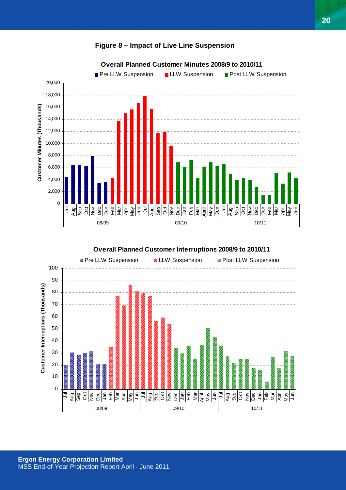

## **Figure 8 – Impact of Live Line Suspension**



**Overall Planned Customer Interruptions 2008/9 to 2010/11**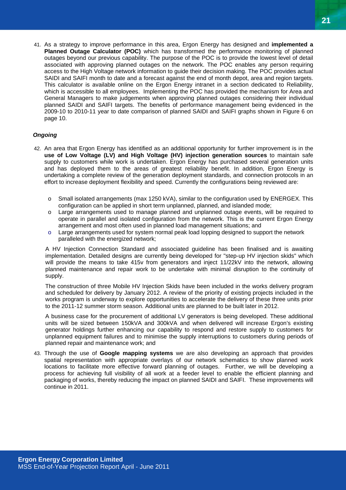41. As a strategy to improve performance in this area, Ergon Energy has designed and **implemented a Planned Outage Calculator (POC)** which has transformed the performance monitoring of planned outages beyond our previous capability. The purpose of the POC is to provide the lowest level of detail associated with approving planned outages on the network. The POC enables any person requiring access to the High Voltage network information to guide their decision making. The POC provides actual SAIDI and SAIFI month to date and a forecast against the end of month depot, area and region targets. This calculator is available online on the Ergon Energy intranet in a section dedicated to Reliability, which is accessible to all employees. Implementing the POC has provided the mechanism for Area and General Managers to make judgements when approving planned outages considering their individual planned SAIDI and SAIFI targets. The benefits of performance management being evidenced in the 2009-10 to 2010-11 year to date comparison of planned SAIDI and SAIFI graphs shown in Figure 6 on page 10.

#### *Ongoing*

- 42. An area that Ergon Energy has identified as an additional opportunity for further improvement is in the **use of Low Voltage (LV) and High Voltage (HV) injection generation sources** to maintain safe supply to customers while work is undertaken. Ergon Energy has purchased several generation units and has deployed them to the areas of greatest reliability benefit. In addition, Ergon Energy is undertaking a complete review of the generation deployment standards, and connection protocols in an effort to increase deployment flexibility and speed. Currently the configurations being reviewed are:
	- o Small isolated arrangements (max 1250 kVA), similar to the configuration used by ENERGEX. This configuration can be applied in short term unplanned, planned, and islanded mode;
	- o Large arrangements used to manage planned and unplanned outage events, will be required to operate in parallel and isolated configuration from the network. This is the current Ergon Energy arrangement and most often used in planned load management situations; and
	- $\circ$  Large arrangements used for system normal peak load lopping designed to support the network paralleled with the energized network;

A HV Injection Connection Standard and associated guideline has been finalised and is awaiting implementation. Detailed designs are currently being developed for "step-up HV injection skids" which will provide the means to take 415v from generators and inject 11/22kV into the network, allowing planned maintenance and repair work to be undertake with minimal disruption to the continuity of supply.

The construction of three Mobile HV Injection Skids have been included in the works delivery program and scheduled for delivery by January 2012. A review of the priority of existing projects included in the works program is underway to explore opportunities to accelerate the delivery of these three units prior to the 2011-12 summer storm season. Additional units are planned to be built later in 2012.

A business case for the procurement of additional LV generators is being developed. These additional units will be sized between 150kVA and 300kVA and when delivered will increase Ergon's existing generator holdings further enhancing our capability to respond and restore supply to customers for unplanned equipment failures and to minimise the supply interruptions to customers during periods of planned repair and maintenance work; and

43. Through the use of **Google mapping systems** we are also developing an approach that provides spatial representation with appropriate overlays of our network schematics to show planned work locations to facilitate more effective forward planning of outages. Further, we will be developing a process for achieving full visibility of all work at a feeder level to enable the efficient planning and packaging of works, thereby reducing the impact on planned SAIDI and SAIFI. These improvements will continue in 2011.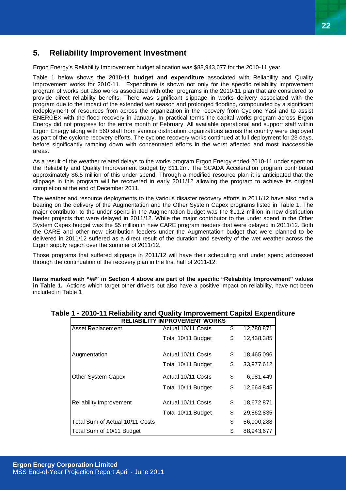## <span id="page-21-0"></span>**5. Reliability Improvement Investment**

Ergon Energy's Reliability Improvement budget allocation was \$88,943,677 for the 2010-11 year.

Table 1 below shows the **2010-11 budget and expenditure** associated with Reliability and Quality Improvement works for 2010-11. Expenditure is shown not only for the specific reliability improvement program of works but also works associated with other programs in the 2010-11 plan that are considered to provide direct reliability benefits. There was significant slippage in works delivery associated with the program due to the impact of the extended wet season and prolonged flooding, compounded by a significant redeployment of resources from across the organization in the recovery from Cyclone Yasi and to assist ENERGEX with the flood recovery in January. In practical terms the capital works program across Ergon Energy did not progress for the entire month of February. All available operational and support staff within Ergon Energy along with 560 staff from various distribution organizations across the country were deployed as part of the cyclone recovery efforts. The cyclone recovery works continued at full deployment for 23 days, before significantly ramping down with concentrated efforts in the worst affected and most inaccessible areas.

As a result of the weather related delays to the works program Ergon Energy ended 2010-11 under spent on the Reliability and Quality Improvement Budget by \$11.2m. The SCADA Acceleration program contributed approximately \$6.5 million of this under spend. Through a modified resource plan it is anticipated that the slippage in this program will be recovered in early 2011/12 allowing the program to achieve its original completion at the end of December 2011.

The weather and resource deployments to the various disaster recovery efforts in 2011/12 have also had a bearing on the delivery of the Augmentation and the Other System Capex programs listed in Table 1. The major contributor to the under spend in the Augmentation budget was the \$11.2 million in new distribution feeder projects that were delayed in 2011/12. While the major contributor to the under spend in the Other System Capex budget was the \$5 million in new CARE program feeders that were delayed in 2011/12. Both the CARE and other new distribution feeders under the Augmentation budget that were planned to be delivered in 2011/12 suffered as a direct result of the duration and severity of the wet weather across the Ergon supply region over the summer of 2011/12.

Those programs that suffered slippage in 2011/12 will have their scheduling and under spend addressed through the continuation of the recovery plan in the first half of 2011-12.

**Items marked with "##" in Section 4 above are part of the specific "Reliability Improvement" values in Table 1.** Actions which target other drivers but also have a positive impact on reliability, have not been included in Table 1

| <b>RELIABILITY IMPROVEMENT WORKS</b> |                    |    |            |  |  |
|--------------------------------------|--------------------|----|------------|--|--|
| <b>Asset Replacement</b>             | Actual 10/11 Costs | \$ | 12,780,871 |  |  |
|                                      | Total 10/11 Budget | \$ | 12,438,385 |  |  |
| Augmentation                         | Actual 10/11 Costs | \$ | 18,465,096 |  |  |
|                                      | Total 10/11 Budget | \$ | 33,977,612 |  |  |
| Other System Capex                   | Actual 10/11 Costs | \$ | 6,981,449  |  |  |
|                                      | Total 10/11 Budget | \$ | 12,664,845 |  |  |
| <b>Reliability Improvement</b>       | Actual 10/11 Costs | \$ | 18,672,871 |  |  |
|                                      | Total 10/11 Budget | \$ | 29,862,835 |  |  |
| Total Sum of Actual 10/11 Costs      |                    | \$ | 56,900,288 |  |  |
| Total Sum of 10/11 Budget            |                    | \$ | 88,943,677 |  |  |

# **Table 1 - 2010-11 Reliability and Quality Improvement Capital Expenditure**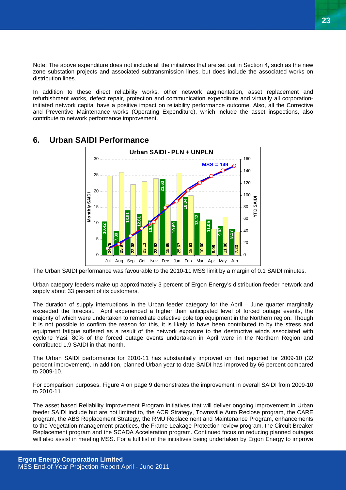<span id="page-22-0"></span>Note: The above expenditure does not include all the initiatives that are set out in Section 4, such as the new zone substation projects and associated subtransmission lines, but does include the associated works on distribution lines.

In addition to these direct reliability works, other network augmentation, asset replacement and refurbishment works, defect repair, protection and communication expenditure and virtually all corporationinitiated network capital have a positive impact on reliability performance outcome. Also, all the Corrective and Preventive Maintenance works (Operating Expenditure), which include the asset inspections, also contribute to network performance improvement.



## **6. Urban SAIDI Performance**

The Urban SAIDI performance was favourable to the 2010-11 MSS limit by a margin of 0.1 SAIDI minutes.

Urban category feeders make up approximately 3 percent of Ergon Energy's distribution feeder network and supply about 33 percent of its customers.

The duration of supply interruptions in the Urban feeder category for the April – June quarter marginally exceeded the forecast. April experienced a higher than anticipated level of forced outage events, the majority of which were undertaken to remediate defective pole top equipment in the Northern region. Though it is not possible to confirm the reason for this, it is likely to have been contributed to by the stress and equipment fatigue suffered as a result of the network exposure to the destructive winds associated with cyclone Yasi. 80% of the forced outage events undertaken in April were in the Northern Region and contributed 1.9 SAIDI in that month.

The Urban SAIDI performance for 2010-11 has substantially improved on that reported for 2009-10 (32 percent improvement). In addition, planned Urban year to date SAIDI has improved by 66 percent compared to 2009-10.

For comparison purposes, Figure 4 on page 9 demonstrates the improvement in overall SAIDI from 2009-10 to 2010-11.

The asset based Reliability Improvement Program initiatives that will deliver ongoing improvement in Urban feeder SAIDI include but are not limited to, the ACR Strategy, Townsville Auto Reclose program, the CARE program, the ABS Replacement Strategy, the RMU Replacement and Maintenance Program, enhancements to the Vegetation management practices, the Frame Leakage Protection review program, the Circuit Breaker Replacement program and the SCADA Acceleration program. Continued focus on reducing planned outages will also assist in meeting MSS. For a full list of the initiatives being undertaken by Ergon Energy to improve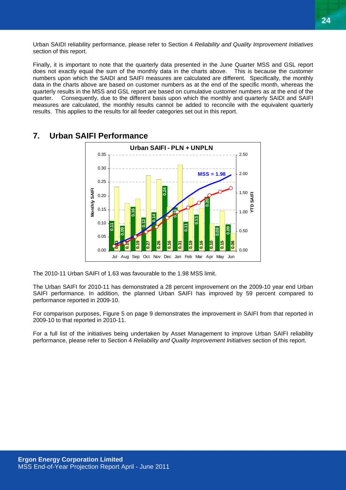<span id="page-23-0"></span>Urban SAIDI reliability performance, please refer to Section 4 *Reliability and Quality Improvement Initiatives* section of this report.

Finally, it is important to note that the quarterly data presented in the June Quarter MSS and GSL report does not exactly equal the sum of the monthly data in the charts above. This is because the customer numbers upon which the SAIDI and SAIFI measures are calculated are different. Specifically, the monthly data in the charts above are based on customer numbers as at the end of the specific month, whereas the quarterly results in the MSS and GSL report are based on cumulative customer numbers as at the end of the quarter. Consequently, due to the different basis upon which the monthly and quarterly SAIDI and SAIFI measures are calculated, the monthly results cannot be added to reconcile with the equivalent quarterly results. This applies to the results for all feeder categories set out in this report.



## **7. Urban SAIFI Performance**

The 2010-11 Urban SAIFI of 1.63 was favourable to the 1.98 MSS limit.

The Urban SAIFI for 2010-11 has demonstrated a 28 percent improvement on the 2009-10 year end Urban SAIFI performance. In addition, the planned Urban SAIFI has improved by 59 percent compared to performance reported in 2009-10.

For comparison purposes, Figure 5 on page 9 demonstrates the improvement in SAIFI from that reported in 2009-10 to that reported in 2010-11.

For a full list of the initiatives being undertaken by Asset Management to improve Urban SAIFI reliability performance, please refer to Section 4 *Reliability and Quality Improvement Initiatives* section of this report.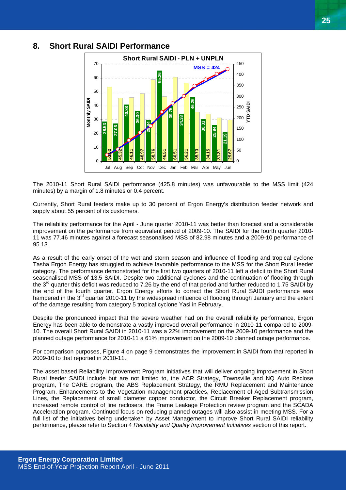

## <span id="page-24-0"></span>**8. Short Rural SAIDI Performance**

The 2010-11 Short Rural SAIDI performance (425.8 minutes) was unfavourable to the MSS limit (424 minutes) by a margin of 1.8 minutes or 0.4 percent.

Currently, Short Rural feeders make up to 30 percent of Ergon Energy's distribution feeder network and supply about 55 percent of its customers.

The reliability performance for the April - June quarter 2010-11 was better than forecast and a considerable improvement on the performance from equivalent period of 2009-10. The SAIDI for the fourth quarter 2010- 11 was 77.46 minutes against a forecast seasonalised MSS of 82.98 minutes and a 2009-10 performance of 95.13.

As a result of the early onset of the wet and storm season and influence of flooding and tropical cyclone Tasha Ergon Energy has struggled to achieve favorable performance to the MSS for the Short Rural feeder category. The performance demonstrated for the first two quarters of 2010-11 left a deficit to the Short Rural seasonalised MSS of 13.5 SAIDI. Despite two additional cyclones and the continuation of flooding through the 3<sup>rd</sup> quarter this deficit was reduced to 7.26 by the end of that period and further reduced to 1.75 SAIDI by the end of the fourth quarter. Ergon Energy efforts to correct the Short Rural SAIDI performance was hampered in the 3<sup>rd</sup> quarter 2010-11 by the widespread influence of flooding through January and the extent of the damage resulting from category 5 tropical cyclone Yasi in February.

Despite the pronounced impact that the severe weather had on the overall reliability performance, Ergon Energy has been able to demonstrate a vastly improved overall performance in 2010-11 compared to 2009- 10. The overall Short Rural SAIDI in 2010-11 was a 22% improvement on the 2009-10 performance and the planned outage performance for 2010-11 a 61% improvement on the 2009-10 planned outage performance.

For comparison purposes, Figure 4 on page 9 demonstrates the improvement in SAIDI from that reported in 2009-10 to that reported in 2010-11.

The asset based Reliability Improvement Program initiatives that will deliver ongoing improvement in Short Rural feeder SAIDI include but are not limited to, the ACR Strategy, Townsville and NQ Auto Reclose program, The CARE program, the ABS Replacement Strategy, the RMU Replacement and Maintenance Program, Enhancements to the Vegetation management practices, Replacement of Aged Subtransmission Lines, the Replacement of small diameter copper conductor, the Circuit Breaker Replacement program, increased remote control of line reclosers, the Frame Leakage Protection review program and the SCADA Acceleration program. Continued focus on reducing planned outages will also assist in meeting MSS. For a full list of the initiatives being undertaken by Asset Management to improve Short Rural SAIDI reliability performance, please refer to Section 4 *Reliability and Quality Improvement Initiatives* section of this report.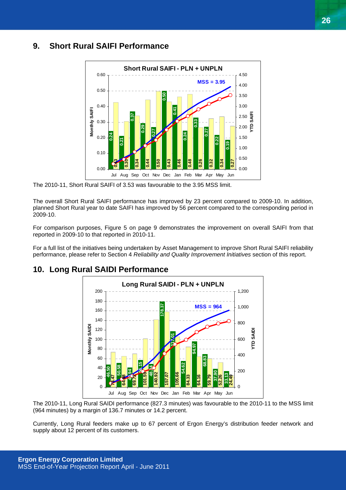# <span id="page-25-0"></span>**9. Short Rural SAIFI Performance**



The 2010-11, Short Rural SAIFI of 3.53 was favourable to the 3.95 MSS limit.

The overall Short Rural SAIFI performance has improved by 23 percent compared to 2009-10. In addition, planned Short Rural year to date SAIFI has improved by 56 percent compared to the corresponding period in  $2009 - 10$ .

For comparison purposes, Figure 5 on page 9 demonstrates the improvement on overall SAIFI from that reported in 2009-10 to that reported in 2010-11.

For a full list of the initiatives being undertaken by Asset Management to improve Short Rural SAIFI reliability performance, please refer to Section 4 *Reliability and Quality Improvement Initiatives* section of this report.



## **10. Long Rural SAIDI Performance**

The 2010-11, Long Rural SAIDI performance (827.3 minutes) was favourable to the 2010-11 to the MSS limit (964 minutes) by a margin of 136.7 minutes or 14.2 percent.

Currently, Long Rural feeders make up to 67 percent of Ergon Energy's distribution feeder network and supply about 12 percent of its customers.